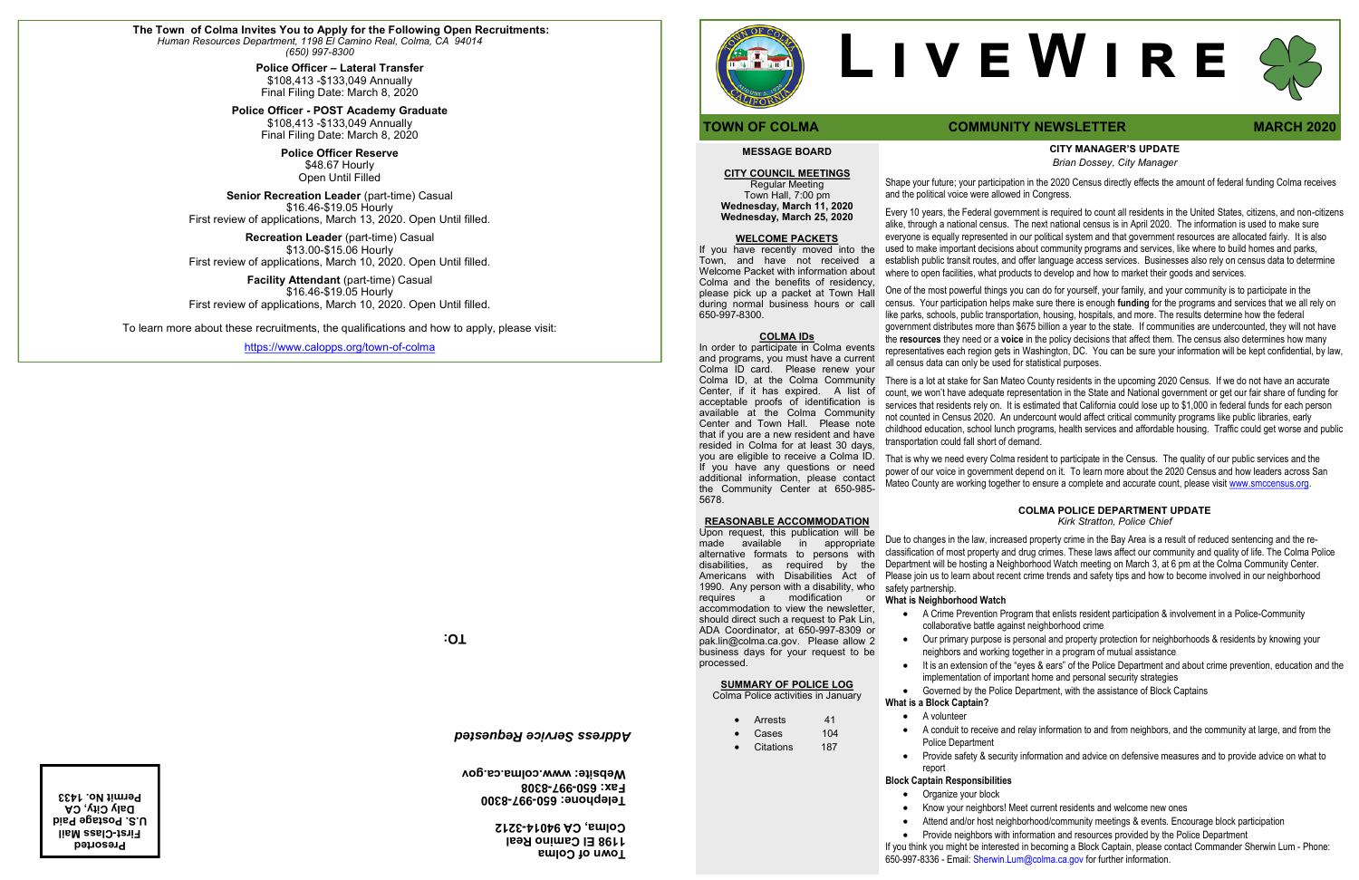# **CITY MANAGER'S UPDATE**

*Brian Dossey, City Manager*

Shape your future; your participation in the 2020 Census directly effects the amount of federal funding Colma receives and the political voice were allowed in Congress.

Every 10 years, the Federal government is required to count all residents in the United States, citizens, and non-citizens alike, through a national census. The next national census is in April 2020. The information is used to make sure everyone is equally represented in our political system and that government resources are allocated fairly. It is also used to make important decisions about community programs and services, like where to build homes and parks, establish public transit routes, and offer language access services. Businesses also rely on census data to determine where to open facilities, what products to develop and how to market their goods and services.

One of the most powerful things you can do for yourself, your family, and your community is to participate in the census. Your participation helps make sure there is enough **funding** for the programs and services that we all rely on like parks, schools, public transportation, housing, hospitals, and more. The results determine how the federal government distributes more than \$675 billion a year to the state. If communities are undercounted, they will not have the **resources** they need or a **voice** in the policy decisions that affect them. The census also determines how many representatives each region gets in Washington, DC. You can be sure your information will be kept confidential, by law, all census data can only be used for statistical purposes.

There is a lot at stake for San Mateo County residents in the upcoming 2020 Census. If we do not have an accurate count, we won't have adequate representation in the State and National government or get our fair share of funding for services that residents rely on. It is estimated that California could lose up to \$1,000 in federal funds for each person not counted in Census 2020. An undercount would affect critical community programs like public libraries, early childhood education, school lunch programs, health services and affordable housing. Traffic could get worse and public transportation could fall short of demand.

That is why we need every Colma resident to participate in the Census. The quality of our public services and the power of our voice in government depend on it. To learn more about the 2020 Census and how leaders across San Mateo County are working together to ensure a complete and accurate count, please visit [www.smccensus.org.](http://www.smccensus.org)

#### **COLMA POLICE DEPARTMENT UPDATE** *Kirk Stratton, Police Chief*

Due to changes in the law, increased property crime in the Bay Area is a result of reduced sentencing and the reclassification of most property and drug crimes. These laws affect our community and quality of life. The Colma Police Department will be hosting a Neighborhood Watch meeting on March 3, at 6 pm at the Colma Community Center. Please join us to learn about recent crime trends and safety tips and how to become involved in our neighborhood

- Arrests 41
- Cases 104
- Citations 187

safety partnership.

## **What is Neighborhood Watch**

• A Crime Prevention Program that enlists resident participation & involvement in a Police-Community collaborative battle against neighborhood crime

• Our primary purpose is personal and property protection for neighborhoods & residents by knowing your neighbors and working together in a program of mutual assistance

• It is an extension of the "eyes & ears" of the Police Department and about crime prevention, education and the implementation of important home and personal security strategies

• Governed by the Police Department, with the assistance of Block Captains

**What is a Block Captain?**  • A volunteer

• A conduit to receive and relay information to and from neighbors, and the community at large, and from the

Police Department

- 
- 
- 

• Provide safety & security information and advice on defensive measures and to provide advice on what to

#### report **Block Captain Responsibilities**

• Organize your block

• Know your neighbors! Meet current residents and welcome new ones

• Attend and/or host neighborhood/community meetings & events. Encourage block participation

• Provide neighbors with information and resources provided by the Police Department

If you think you might be interested in becoming a Block Captain, please contact Commander Sherwin Lum - Phone: 650-997-8336 - Email: Sherwin.Lum@colma.ca.gov for further information.

# **MESSAGE BOARD**

## **CITY COUNCIL MEETINGS**

Regular Meeting Town Hall, 7:00 pm **Wednesday, March 11, 2020 Wednesday, March 25, 2020** 

#### **WELCOME PACKETS**

If you have recently moved into the Town, and have not received a Welcome Packet with information about Colma and the benefits of residency, please pick up a packet at Town Hall during normal business hours or call 650-997-8300.

#### **COLMA IDs**

In order to participate in Colma events and programs, you must have a current Colma ID card. Please renew your Colma ID, at the Colma Community Center, if it has expired. A list of acceptable proofs of identification is available at the Colma Community Center and Town Hall. Please note that if you are a new resident and have resided in Colma for at least 30 days, you are eligible to receive a Colma ID. If you have any questions or need additional information, please contact the Community Center at 650-985- 5678.

#### **REASONABLE ACCOMMODATION**

Upon request, this publication will be made available in appropriate alternative formats to persons with disabilities, as required by the Americans with Disabilities Act of 1990. Any person with a disability, who requires a modification or accommodation to view the newsletter, should direct such a request to Pak Lin, ADA Coordinator, at 650-997-8309 or pak.lin@colma.ca.gov. Please allow 2 business days for your request to be processed.

## **SUMMARY OF POLICE LOG**

Colma Police activities in January

# **L i v e W i r e**

# **TOWN OF COLMA COMMUNITY NEWSLETTER MARCH** 2020

**TO:**

**Town of Colma 1198 El Camino Real 3212 - Colma, CA 94014**



**8300 - 997 - Telephone: 650 8308 - 997 - Fax: 650 Website: www.colma.ca.gov**

## *Address Service Requested*

**Presorted First-Class Mail U.S. Postage Paid Daly City, CA Permit No. 1433**



**The Town of Colma Invites You to Apply for the Following Open Recruitments:** *Human Resources Department, 1198 El Camino Real, Colma, CA 94014 (650) 997-8300* 

> **Police Officer – Lateral Transfer**  \$108,413 -\$133,049 Annually Final Filing Date: March 8, 2020

**Police Officer - POST Academy Graduate** \$108,413 -\$133,049 Annually Final Filing Date: March 8, 2020

> **Police Officer Reserve** \$48.67 Hourly Open Until Filled

**Senior Recreation Leader** (part-time) Casual \$16.46-\$19.05 Hourly First review of applications, March 13, 2020. Open Until filled.

**Recreation Leader** (part-time) Casual \$13.00-\$15.06 Hourly First review of applications, March 10, 2020. Open Until filled.

**Facility Attendant** (part-time) Casual \$16.46-\$19.05 Hourly First review of applications, March 10, 2020. Open Until filled.

To learn more about these recruitments, the qualifications and how to apply, please visit:

[https://www.calopps.org/town](https://www.calopps.org/town-of-colma)-of-colma